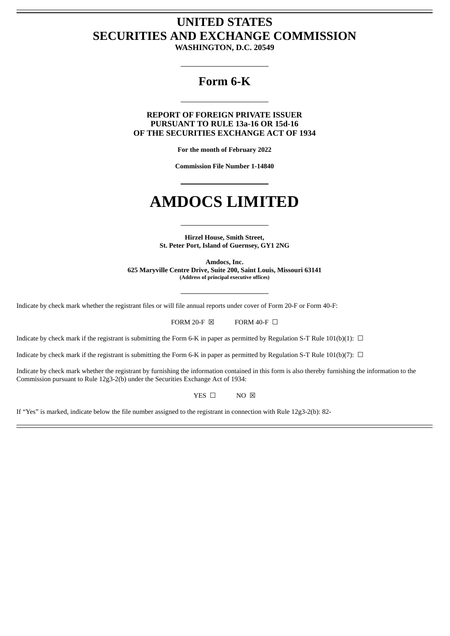## **UNITED STATES SECURITIES AND EXCHANGE COMMISSION**

**WASHINGTON, D.C. 20549**

### **Form 6-K**

**REPORT OF FOREIGN PRIVATE ISSUER PURSUANT TO RULE 13a-16 OR 15d-16 OF THE SECURITIES EXCHANGE ACT OF 1934**

**For the month of February 2022**

**Commission File Number 1-14840**

# **AMDOCS LIMITED**

**Hirzel House, Smith Street, St. Peter Port, Island of Guernsey, GY1 2NG**

**Amdocs, Inc. 625 Maryville Centre Drive, Suite 200, Saint Louis, Missouri 63141 (Address of principal executive offices)**

Indicate by check mark whether the registrant files or will file annual reports under cover of Form 20-F or Form 40-F:

FORM 20-F  $\boxtimes$  FORM 40-F  $\Box$ 

Indicate by check mark if the registrant is submitting the Form 6-K in paper as permitted by Regulation S-T Rule 101(b)(1):  $\Box$ 

Indicate by check mark if the registrant is submitting the Form 6-K in paper as permitted by Regulation S-T Rule 101(b)(7):  $\Box$ 

Indicate by check mark whether the registrant by furnishing the information contained in this form is also thereby furnishing the information to the Commission pursuant to Rule 12g3-2(b) under the Securities Exchange Act of 1934:

YES □ NO ⊠

If "Yes" is marked, indicate below the file number assigned to the registrant in connection with Rule 12g3-2(b): 82-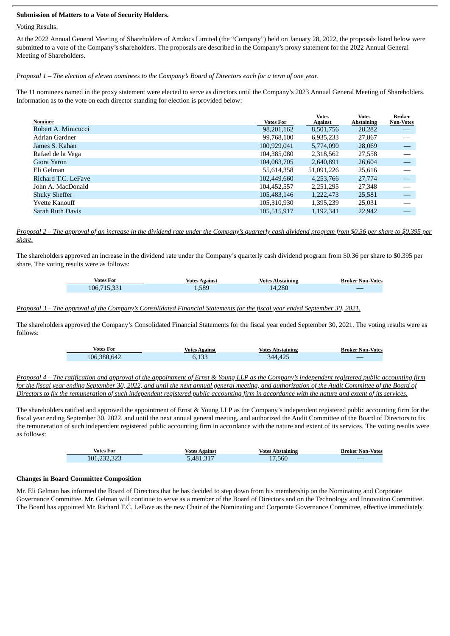#### **Submission of Matters to a Vote of Security Holders.**

#### Voting Results.

At the 2022 Annual General Meeting of Shareholders of Amdocs Limited (the "Company") held on January 28, 2022, the proposals listed below were submitted to a vote of the Company's shareholders. The proposals are described in the Company's proxy statement for the 2022 Annual General Meeting of Shareholders.

#### Proposal 1 – The election of eleven nominees to the Company's Board of Directors each for a term of one year.

The 11 nominees named in the proxy statement were elected to serve as directors until the Company's 2023 Annual General Meeting of Shareholders. Information as to the vote on each director standing for election is provided below:

|                         |                  | <b>Votes</b>   | <b>Votes</b>      | <b>Broker</b>                   |
|-------------------------|------------------|----------------|-------------------|---------------------------------|
| <b>Nominee</b>          | <b>Votes For</b> | <b>Against</b> | <b>Abstaining</b> | <b>Non-Votes</b>                |
| Robert A. Minicucci     | 98,201,162       | 8,501,756      | 28,282            | $\overline{\phantom{m}}$        |
| Adrian Gardner          | 99,768,100       | 6,935,233      | 27,867            |                                 |
| James S. Kahan          | 100,929,041      | 5,774,090      | 28,069            |                                 |
| Rafael de la Vega       | 104,385,080      | 2,318,562      | 27,558            |                                 |
| Giora Yaron             | 104,063,705      | 2,640,891      | 26,604            |                                 |
| Eli Gelman              | 55,614,358       | 51,091,226     | 25,616            |                                 |
| Richard T.C. LeFave     | 102,449,660      | 4,253,766      | 27,774            |                                 |
| John A. MacDonald       | 104,452,557      | 2,251,295      | 27,348            |                                 |
| <b>Shuky Sheffer</b>    | 105,483,146      | 1,222,473      | 25,581            | $\hspace{0.1mm}-\hspace{0.1mm}$ |
| <b>Yvette Kanouff</b>   | 105,310,930      | 1,395,239      | 25,031            |                                 |
| <b>Sarah Ruth Davis</b> | 105,515,917      | 1,192,341      | 22,942            |                                 |
|                         |                  |                |                   |                                 |

Proposal 2 - The approval of an increase in the dividend rate under the Company's quarterly cash dividend program from \$0.36 per share to \$0.395 per *share.*

The shareholders approved an increase in the dividend rate under the Company's quarterly cash dividend program from \$0.36 per share to \$0.395 per share. The voting results were as follows:

| Votes For   | Votes Against | Votes Abstaining | <b>Broker Non-Votes</b> |
|-------------|---------------|------------------|-------------------------|
| 106,715,331 | 1.589         | 14.280           |                         |

#### Proposal 3 - The approval of the Company's Consolidated Financial Statements for the fiscal year ended September 30, 2021.

The shareholders approved the Company's Consolidated Financial Statements for the fiscal year ended September 30, 2021. The voting results were as follows:

| <b>Votes For</b> | Votes Against | <b>Votes Abstaining</b> | <b>Broker Non-Votes</b> |
|------------------|---------------|-------------------------|-------------------------|
| 106,380,642      | 6.133         | 344.425                 |                         |

Proposal 4 – The ratification and approval of the appointment of Ernst & Young LLP as the Company's independent registered public accounting firm for the fiscal year ending September 30, 2022, and until the next annual general meeting, and authorization of the Audit Committee of the Board of Directors to fix the remuneration of such independent registered public accounting firm in accordance with the nature and extent of its services.

The shareholders ratified and approved the appointment of Ernst & Young LLP as the Company's independent registered public accounting firm for the fiscal year ending September 30, 2022, and until the next annual general meeting, and authorized the Audit Committee of the Board of Directors to fix the remuneration of such independent registered public accounting firm in accordance with the nature and extent of its services. The voting results were as follows:

| Votes For   | Votes Against | <b>Votes Abstaining</b> | <b>Broker Non-Votes</b> |
|-------------|---------------|-------------------------|-------------------------|
| 101,232,323 | 481,317ہ      | 17.560                  |                         |

#### **Changes in Board Committee Composition**

Mr. Eli Gelman has informed the Board of Directors that he has decided to step down from his membership on the Nominating and Corporate Governance Committee. Mr. Gelman will continue to serve as a member of the Board of Directors and on the Technology and Innovation Committee. The Board has appointed Mr. Richard T.C. LeFave as the new Chair of the Nominating and Corporate Governance Committee, effective immediately.